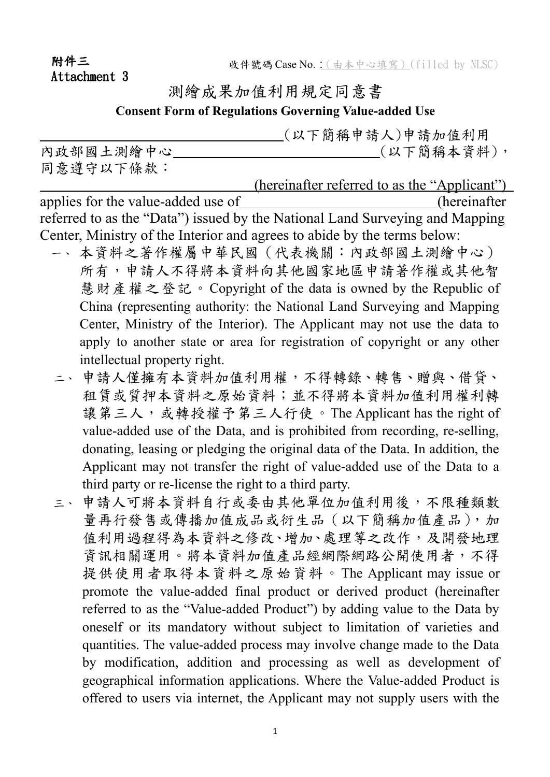附件三 Attachment 3

## 測繪成果加值利用規定同意書

**Consent Form of Regulations Governing Value-added Use**

 (以下簡稱申請人)申請加值利用 內政部國土測繪中心 (1) 同意遵守以下條款:

 (hereinafter referred to as the "Applicant") applies for the value-added use of (hereinafter referred to as the "Data") issued by the National Land Surveying and Mapping Center, Ministry of the Interior and agrees to abide by the terms below:

- 一、 本資料之著作權屬中華民國(代表機關:內政部國土測繪中心) 所有,申請人不得將本資料向其他國家地區申請著作權或其他智 慧財產權之登記。Copyright of the data is owned by the Republic of China (representing authority: the National Land Surveying and Mapping Center, Ministry of the Interior). The Applicant may not use the data to apply to another state or area for registration of copyright or any other intellectual property right.
- 二、申請人僅擁有本資料加值利用權,不得轉錄、轉售、贈與、借貸、 租賃或質押本資料之原始資料;並不得將本資料加值利用權利轉 讓第三人,或轉授權予第三人行使。The Applicant has the right of value-added use of the Data, and is prohibited from recording, re-selling, donating, leasing or pledging the original data of the Data. In addition, the Applicant may not transfer the right of value-added use of the Data to a third party or re-license the right to a third party.
- 三、申請人可將本資料自行或委由其他單位加值利用後,不限種類數 量再行發售或傳播加值成品或衍生品(以下簡稱加值產品),加 值利用過程得為本資料之修改、增加、處理等之改作,及開發地理 資訊相關運用。將本資料加值產品經網際網路公開使用者,不得 提供使用者取得本資料之原始資料。The Applicant may issue or promote the value-added final product or derived product (hereinafter referred to as the "Value-added Product") by adding value to the Data by oneself or its mandatory without subject to limitation of varieties and quantities. The value-added process may involve change made to the Data by modification, addition and processing as well as development of geographical information applications. Where the Value-added Product is offered to users via internet, the Applicant may not supply users with the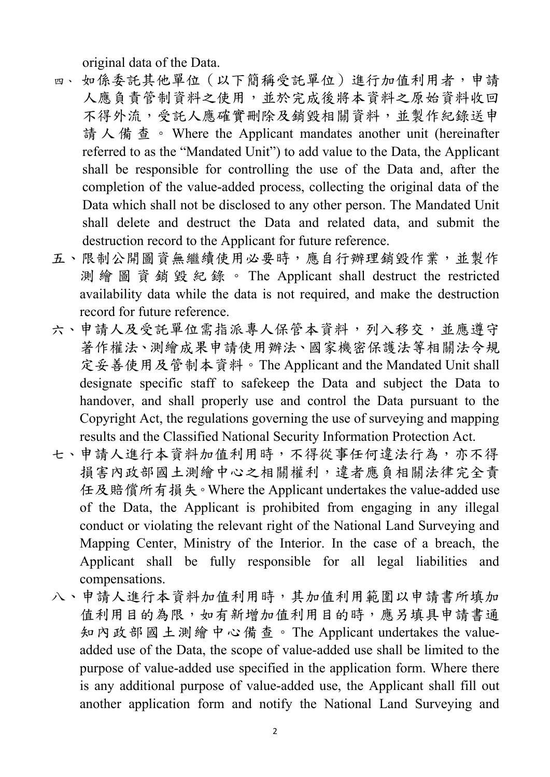original data of the Data.

- 四、 如係委託其他單位(以下簡稱受託單位)進行加值利用者,申請 人應負責管制資料之使用,並於完成後將本資料之原始資料收回 不得外流,受託人應確實刪除及銷毀相關資料,並製作紀錄送申 請人備查。 Where the Applicant mandates another unit (hereinafter referred to as the "Mandated Unit") to add value to the Data, the Applicant shall be responsible for controlling the use of the Data and, after the completion of the value-added process, collecting the original data of the Data which shall not be disclosed to any other person. The Mandated Unit shall delete and destruct the Data and related data, and submit the destruction record to the Applicant for future reference.
- 五、限制公開圖資無繼續使用必要時,應自行辦理銷毀作業,並製作 測 繪 圖 資 銷 毀 紀 錄 。 The Applicant shall destruct the restricted availability data while the data is not required, and make the destruction record for future reference.
- 六、申請人及受託單位需指派專人保管本資料,列入移交,並應遵守 著作權法、測繪成果申請使用辦法、國家機密保護法等相關法令規 定妥善使用及管制本資料。The Applicant and the Mandated Unit shall designate specific staff to safekeep the Data and subject the Data to handover, and shall properly use and control the Data pursuant to the Copyright Act, the regulations governing the use of surveying and mapping results and the Classified National Security Information Protection Act.
- 七、申請人進行本資料加值利用時,不得從事任何違法行為,亦不得 損害內政部國土測繪中心之相關權利,違者應負相關法律完全責 任及賠償所有損失。Where the Applicant undertakes the value-added use of the Data, the Applicant is prohibited from engaging in any illegal conduct or violating the relevant right of the National Land Surveying and Mapping Center, Ministry of the Interior. In the case of a breach, the Applicant shall be fully responsible for all legal liabilities and compensations.
- 八、申請人進行本資料加值利用時,其加值利用範圍以申請書所填加 值利用目的為限,如有新增加值利用目的時,應另填具申請書通 知內政部國土測繪中心備查。The Applicant undertakes the valueadded use of the Data, the scope of value-added use shall be limited to the purpose of value-added use specified in the application form. Where there is any additional purpose of value-added use, the Applicant shall fill out another application form and notify the National Land Surveying and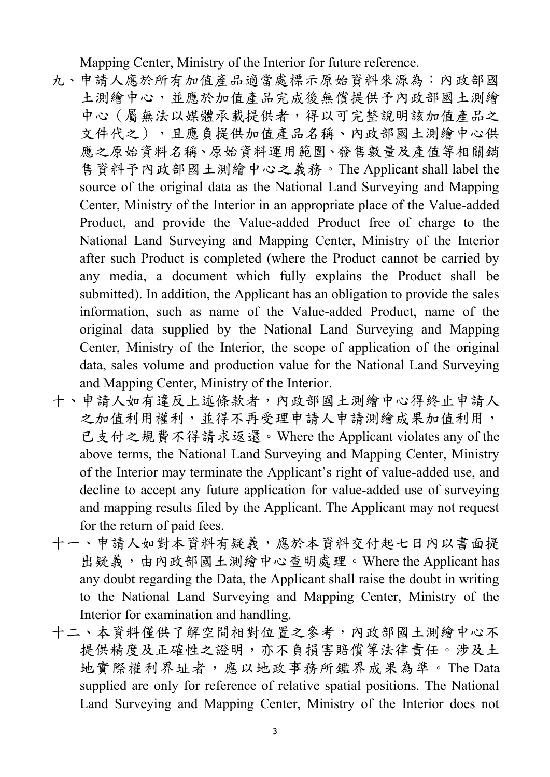Mapping Center, Ministry of the Interior for future reference.

- 九、申請人應於所有加值產品適當處標示原始資料來源為:內政部國 土測繪中心,並應於加值產品完成後無償提供予內政部國土測繪 中心(屬無法以媒體承載提供者,得以可完整說明該加值產品之 文件代之),且應負提供加值產品名稱、內政部國土測繪中心供 應之原始資料名稱、原始資料運用範圍、發售數量及產值等相關銷 售資料予內政部國土測繪中心之義務。The Applicant shall label the source of the original data as the National Land Surveying and Mapping Center, Ministry of the Interior in an appropriate place of the Value-added Product, and provide the Value-added Product free of charge to the National Land Surveying and Mapping Center, Ministry of the Interior after such Product is completed (where the Product cannot be carried by any media, a document which fully explains the Product shall be submitted). In addition, the Applicant has an obligation to provide the sales information, such as name of the Value-added Product, name of the original data supplied by the National Land Surveying and Mapping Center, Ministry of the Interior, the scope of application of the original data, sales volume and production value for the National Land Surveying and Mapping Center, Ministry of the Interior.
- 十、申請人如有違反上述條款者,內政部國土測繪中心得終止申請人 之加值利用權利,並得不再受理申請人申請測繪成果加值利用, 已支付之規費不得請求返還。Where the Applicant violates any of the above terms, the National Land Surveying and Mapping Center, Ministry of the Interior may terminate the Applicant's right of value-added use, and decline to accept any future application for value-added use of surveying and mapping results filed by the Applicant. The Applicant may not request for the return of paid fees.
- 十一、申請人如對本資料有疑義,應於本資料交付起七日內以書面提 出疑義,由內政部國土測繪中心查明處理。Where the Applicant has any doubt regarding the Data, the Applicant shall raise the doubt in writing to the National Land Surveying and Mapping Center, Ministry of the Interior for examination and handling.
- 十二、本資料僅供了解空間相對位置之參考,內政部國土測繪中心不 提供精度及正確性之證明,亦不負損害賠償等法律責任。涉及土 地實際權利界址者,應以地政事務所鑑界成果為準。The Data supplied are only for reference of relative spatial positions. The National Land Surveying and Mapping Center, Ministry of the Interior does not